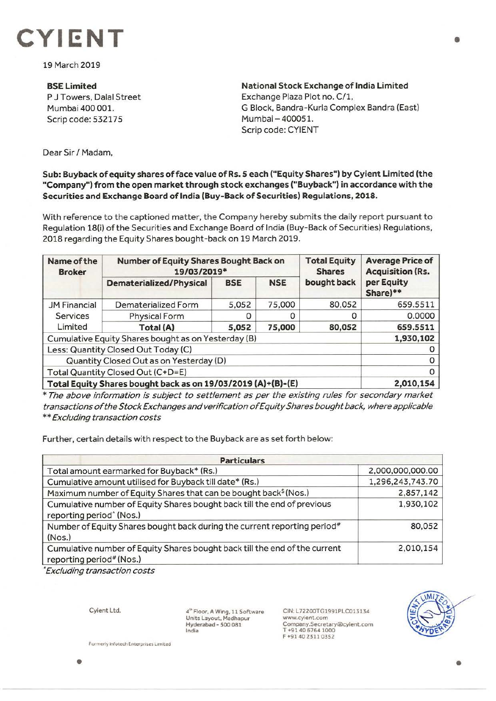

19 March 2019

**BSE Limited**  P J Towers, Dalal Street Mumbai 400 001. Scrip code: 532175

**National Stock Exchange of India Limited**  Exchange Plaza Plot no. C/1, G Block, Bandra-Kurla Complex Sandra (East) Mumbai- 400051. Scrip code: CYIENT

Dear Sir *I* Madam,

## **Sub: Buyback of equity shares of face value of Rs. 5 each ("Equity Shares") by Cyient Limited (the "Company") from the open market through stock exchanges ("Buyback") in accordance with the Securities and Exchange Board of India (Buy-Back of Securities) Regulations, 2018.**

With reference to the captioned matter, the Company hereby submits the daily report pursuant to Regulation 18(i) of the Securities and Exchange Board of India (Buy-Back of Securities) Regulations, 2018 regarding the Equity Shares bought-back on 19 March 2019.

| Name of the<br><b>Broker</b>                                 | <b>Number of Equity Shares Bought Back on</b><br>19/03/2019* |            |            | <b>Total Equity</b><br><b>Shares</b> | <b>Average Price of</b><br><b>Acquisition (Rs.</b> |
|--------------------------------------------------------------|--------------------------------------------------------------|------------|------------|--------------------------------------|----------------------------------------------------|
|                                                              | <b>Dematerialized/Physical</b>                               | <b>BSE</b> | <b>NSE</b> | bought back                          | per Equity<br>Share)**                             |
| <b>JM Financial</b><br>Services<br>Limited                   | Dematerialized Form                                          | 5,052      | 75,000     | 80,052                               | 659.5511                                           |
|                                                              | <b>Physical Form</b>                                         |            |            |                                      | 0.0000                                             |
|                                                              | Total (A)                                                    | 5,052      | 75,000     | 80,052                               | 659.5511                                           |
| Cumulative Equity Shares bought as on Yesterday (B)          |                                                              |            |            |                                      | 1,930,102                                          |
| Less: Quantity Closed Out Today (C)                          |                                                              |            |            |                                      |                                                    |
| Quantity Closed Out as on Yesterday (D)                      |                                                              |            |            |                                      |                                                    |
| Total Quantity Closed Out (C+D=E)                            |                                                              |            |            |                                      |                                                    |
| Total Equity Shares bought back as on 19/03/2019 (A)+(B)-(E) |                                                              |            |            |                                      | 2,010,154                                          |

\* The above information is subject to settlement as per the existing rules for secondary market transactions of the 5 tock Exchanges and verification of Equity Shares bought back, where applicable \*\*Excluding transaction costs

Further, certain details with respect to the Buyback are as set forth below:

| <b>Particulars</b>                                                                                              |                  |  |  |  |
|-----------------------------------------------------------------------------------------------------------------|------------------|--|--|--|
| Total amount earmarked for Buyback* (Rs.)                                                                       | 2,000,000,000.00 |  |  |  |
| Cumulative amount utilised for Buyback till date* (Rs.)                                                         | 1,296,243,743.70 |  |  |  |
| Maximum number of Equity Shares that can be bought back <sup>§</sup> (Nos.)                                     | 2,857,142        |  |  |  |
| Cumulative number of Equity Shares bought back till the end of previous<br>reporting period <sup>^</sup> (Nos.) | 1,930,102        |  |  |  |
| Number of Equity Shares bought back during the current reporting period#<br>(Nos.)                              | 80,052           |  |  |  |
| Cumulative number of Equity Shares bought back till the end of the current<br>reporting period# (Nos.)          | 2,010,154        |  |  |  |

• Excluding transaction costs

Cyient Ltd.

**4'"** Floor, A Wing, 11 Software Units Layout, Madhapur Hyderabad - 500 081 India

CIN: L72200TG1991PLC013134 www.cyient.com Company.Secretary®cyient.com T +91406764 1000 F•914023110352



•

•

**Formerly Infotech Enterprises Limited**